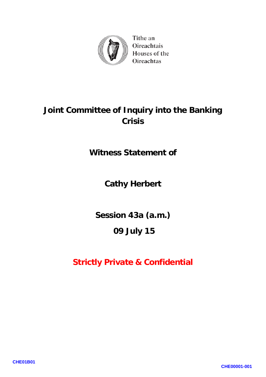

Tithe an Oireachtais Houses of the **Oireachtas** 

# **Joint Committee of Inquiry into the Banking Crisis**

**Witness Statement of**

## **Cathy Herbert**

**Session 43a (a.m.)**

## **09 July 15**

## **Strictly Private & Confidential**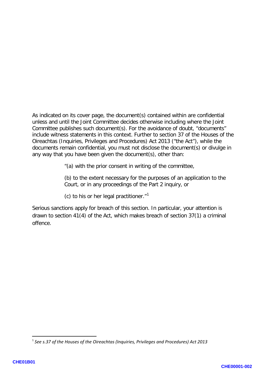As indicated on its cover page, the document(s) contained within are confidential unless and until the Joint Committee decides otherwise including where the Joint Committee publishes such document(s). For the avoidance of doubt, "documents" include witness statements in this context. Further to section 37 of the Houses of the Oireachtas (Inquiries, Privileges and Procedures) Act 2013 ("the Act"), while the documents remain confidential, you must not disclose the document(s) or divulge in any way that you have been given the document(s), other than:

"(a) with the prior consent in writing of the committee,

(b) to the extent necessary for the purposes of an application to the Court, or in any proceedings of the Part 2 inquiry, or

(c) to his or her legal practitioner." 1

Serious sanctions apply for breach of this section. In particular, your attention is drawn to section 41(4) of the Act, which makes breach of section 37(1) a criminal offence.

**.** 

<sup>1</sup> *See s.37 of the Houses of the Oireachtas (Inquiries, Privileges and Procedures) Act 2013*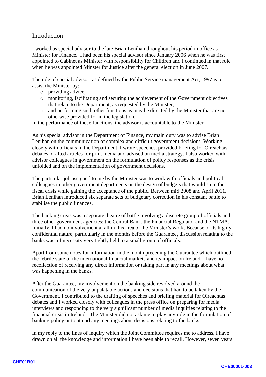#### Introduction

I worked as special advisor to the late Brian Lenihan throughout his period in office as Minister for Finance. I had been his special advisor since January 2006 when he was first appointed to Cabinet as Minister with responsibility for Children and I continued in that role when he was appointed Minster for Justice after the general election in June 2007.

The role of special advisor, as defined by the Public Service management Act, 1997 is to assist the Minister by:

- o providing advice;
- o monitoring, facilitating and securing the achievement of the Government objectives that relate to the Department, as requested by the Minister;
- o and performing such other functions as may be directed by the Minister that are not otherwise provided for in the legislation.

In the performance of these functions, the advisor is accountable to the Minister.

As his special advisor in the Department of Finance, my main duty was to advise Brian Lenihan on the communication of complex and difficult government decisions. Working closely with officials in the Department, I wrote speeches, provided briefing for Oireachtas debates, drafted articles for print media and advised on media strategy. I also worked with advisor colleagues in government on the formulation of policy responses as the crisis unfolded and on the implementation of government decisions.

The particular job assigned to me by the Minister was to work with officials and political colleagues in other government departments on the design of budgets that would stem the fiscal crisis while gaining the acceptance of the public. Between mid 2008 and April 2011, Brian Lenihan introduced six separate sets of budgetary correction in his constant battle to stabilise the public finances.

The banking crisis was a separate theatre of battle involving a discrete group of officials and three other government agencies: the Central Bank, the Financial Regulator and the NTMA. Initially, I had no involvement at all in this area of the Minister's work. Because of its highly confidential nature, particularly in the months before the Guarantee, discussion relating to the banks was, of necessity very tightly held to a small group of officials.

Apart from some notes for information in the month preceding the Guarantee which outlined the febrile s tate o f the international financial markets and its impact on Ireland, I have no recollection of receiving any direct information or taking part in any meetings about what was happening in the banks.

After the Guarantee, my involvement on the banking side revolved around the communication of the very unpalatable actions and decisions that had to be taken by the Government. I contributed to the drafting of speeches and briefing material for Oireachtas debates and I worked closely with colleagues in the press office on preparing for media interviews and responding to the very significant number of media inquiries relating to the financial crisis in Ireland. The Minister did not ask me to play any role in the formulation of banking policy or to attend any meetings about decisions relating to the banks.

In my reply to the lines of inquiry which the Joint Committee requires me to address, I have drawn on all the knowledge and information I have been able to recall. However, seven years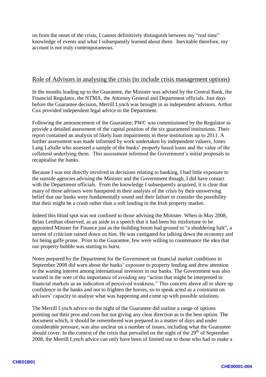on from the onset of the crisis, I cannot definitively distinguish between my "real time" knowledge of events and what I subsequently learned about them. Inevitable therefore, my account is not truly contemporaneous.

#### Role of Advisors in analysing the crisis (to include crisis management options)

In the months leading up to the Guarantee, the Minister was advised by the Central Bank, the Financial Regulator, the NTMA, the Attorney General and Department officials. Just days before the Guarantee decision, Merrill Lynch was brought in as independent advisors. Arthur Cox provided independent legal advice to the Department .

Following the announcement of the Guarantee, PWC was commissioned by the Regulator to provide a detailed assessment of the capital position of the six guaranteed institutions. Their report contained an analysis of likely loan impairments in these institutions up to 2011. A further assessment was made informed by work undertaken by independent valuers, Jones Lang LaSalle who assessed a sample of the banks' property based loans and the value of the collateral underlying them. This assessment informed the Government's initial proposals to recapitalise the banks .

Because I was not directly involved in decisions relating to banking, I had little exposure to the outside agencies advising the Minister and the Government though, I did have contact with the Department officials. From the knowledge I subsequently acquired, it is clear that many of these advisers were hampered in their analysis of the crisis by their unswerving belief that our banks were fundamentally sound and their failure to consider the possibility that their might be a crash rather than a soft landing in the Irish property market.

Indeed this blind spot was not confined to those advising the Minister. When in May 2008, Brian Lenihan observed, as an aside in a speech that it had been his misfortune to be appointed Minster for Finance just as the building boom had ground to "a shuddering halt ", a torrent of criticism rained down on him. H e was castigated for talking down the economy and for being gaffe prone. Prior to the Guarantee, few were willing to countenance the idea that our property bubble was starting to burst. Notes prepared by the Department for the Government on financial market conditions in

September 2008 did warn about the banks' exposure to property lending and drew attention to the waning interest among international investors in our banks. The Government was also warned in the note of the importance of avoiding any "action that might be interpreted in financial markets as an indication of perceived weakness." This concern above all to shore up confidence in the banks and not to frighten the horses, so to speak acted as a constraint on advisors' capacity to analyse what was happening and come up with possible solutions.

The Merrill Lynch advice on the night of the Guarantee did outline a range of options pointing out their pros and cons but not giving any clear direction as to the best option. The document which, it should be remembered was prepared in a matter of days and under considerable pressure, was also unclear on a number of issues, including what the Guarantee should cover. In the context of the crisis that prevailed on the night of the 29<sup>th</sup> of September 2008, the Merrill Lynch advice can only have been of limited use to those who had to make a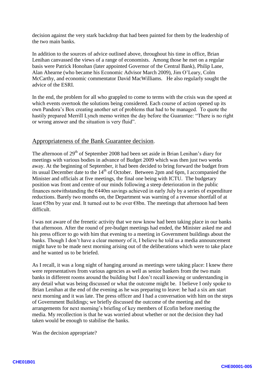decision against the very stark backdrop that had been painted for them by the leadership of the two main banks.

In addition to the sources of advice outlined above, throughout his time in office, Brian Lenihan canvassed the views of a range of economists. Among those he met on a regular basis were Patrick Honohan (later appointed Governor of the Central Bank), Philip Lane, Alan Ahearne (who became his Economic Advisor March 2009), Jim O'Leary, Colm McCarthy, and economic commentator David MacWilliams. He also regularly sought the advice of the ESRI.

In the end, the problem for all who grappled to come to terms with the crisis was the speed at which events overtook the solutions being considered. Each course of action opened up its own Pandora's Box creating another set of problems that had to be managed. To quote the hastily prepared Merrill Lynch memo written the day before the Guarantee: "There is no right or wrong answer and the situation is very fluid".

#### Appropriateness of the Bank Guarantee decision .

The afternoon of  $29<sup>th</sup>$  of September 2008 had been set aside in Brian Lenihan's diary for meetings with various bodies in advance of Budget 2009 which was then just two weeks away. At the beginning of September, it had been decided to bring forward the budget from its usual December date to the  $14<sup>th</sup>$  of October. Between 2pm and 6pm, I accompanied the Minister and officials at five meetings, the final one being with ICTU. The budgetary position was front and centre of our minds following a steep deterioration in the public finances notwithstanding the  $\epsilon$ 440m savings achieved in early July by a series of expenditure reductions. Barely two months on, the Department was warning of a revenue shortfall of at least €5bn by year end. It turned out to be over €8bn. The meetings that afternoon had been difficult.

I was not aware of the frenetic activity that we now know had been taking place in our banks that afternoon. After the round of pre -budget meetings had ended, the Minister asked me and his pres s officer to go with him that evening to a meeting in Government buildings about the banks. Though I don't have a clear memory of it, I believe he told us a media announcement might have to be made next morning arising out of the deliberations which were to take place and he wanted us to be briefed.

As I recall, it was a long night of hanging around as meetings were taking place: I knew there were representatives from various agencies as well as senior bankers from the two main banks in different rooms around the building but I don't recall knowing or understanding in any detail what was being discussed or what the outcome might be. I believe I only spoke to Brian Lenihan at the end of the evening as he was preparing to leave: he had a six am start next morning and it was late. The press officer and I had a conversation with him on the steps of Government Buildings; we briefly discussed the outcome of the meeting and the arrangements for next morning's briefing of key members of Ecofin before meeting the media. My recollection is that he was worried about whether or not the decision they had taken would be enough to stabilise the banks.

Was the decision appropriate?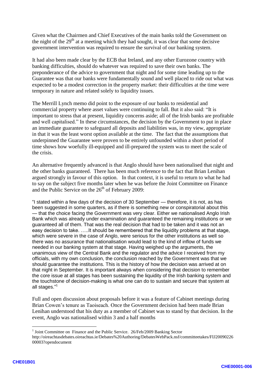Given what the Chairmen and Chief Executives of the main banks told the Government on the night of the  $29<sup>th</sup>$  at a meeting which they had sought, it was clear that some decisive government intervention was required to ensure the survival of our banking system.

It had also been made clear by the ECB that Ireland, and any other Eurozone country with banking difficulties, should do whatever was required to save their own banks . The preponderance of the advice to government that night and for some time leading up to the Guarantee was that our banks were fundamentally sound and well placed to ride out what was expected to be a modest correction in the property market: their difficulties at the time were temporary in nature and related solely to liquidity issues.

The Merrill Lynch memo did point to the exposure of our banks to residential and commercial property where asset values were continuing to fall. But it also said: "It is important to stress that at present, liquidity concerns aside; all of the Irish banks are profitable and well capitalised." In these circumstances, the decision by the Government to put in place an immediate guarantee to safeguard all deposits and liabilities was, in my view, appropriate in that it was the least wors t option available at the time. The fact that the assumptions that underpinned the Guarantee were proven to be entirely unfounded within a short period of time shows how woefully ill -equipped and ill -prepared the system was to meet the scale of the crisis.

An alternative frequently advanced is that Anglo should have been nationalised that night and the other banks guaranteed. There has been much reference to the fact that Brian Lenihan argued strongly in favour of this option. In that context, it is useful to return to what he had to say on the subject five months later when he was before the Joint Committee on Finance and the Public Service on the  $26<sup>th</sup>$  of February 2009:

"I stated within a few days of the decision of 30 September — therefore, it is not, as has been suggested in some quarters, as if there is something new or conspiratorial about this — that the choice facing the Government was very clear. Either we nationalised Anglo Irish Bank which was already under examination and guaranteed the remaining institutions or we guaranteed all of them. That was the real decision that had to be taken and it was not an easy decision to take. …..It should be remembered that the liquidity problems at that stage, which were severe in the case of Anglo, were serious for the other institutions as well so there was no assurance that nationalisation would lead to the kind of inflow of funds we needed in our banking system at that stage. Having weighed up the arguments, the unanimous view of the Central Bank and the regulator and the advice I received from my officials, with my own conclusion, the conclusion reached by the Government was that we should guarantee the institutions. This is the history of how the decision was arrived at on that night in September. It is important always when considering that decision to remember the core issue at all stages has been sustaining the liquidity of the Irish banking system and the touchstone of decision -making is what one can do to sustain and secure that system at all stages."<sup>1</sup>

Full and open discussion about proposals before it was a feature of Cabinet meetings during Brian Cowen's tenure as Taoiseach. Once the Government decision had been made Brian Lenihan understood that his duty as a member of Cabinet was to stand by that decision. In the event, Anglo was nationalised within 3 and a half months

 $\frac{1}{1}$  $<sup>1</sup>$  Joint Committee on Finance and the Public Service. 26/Feb/2009 Banking Sector</sup> http://oireachtasdebates.oireachtas.ie/Debates%20Authoring/DebatesWebPack.nsf/committeetakes/FIJ20090226 00003?opendocument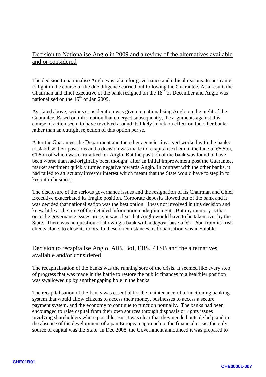### Decision to Nationalise Anglo in 2009 and a review of the alternatives available and or considered

The decision to nationalise Anglo was taken for governance and ethical reasons. Issues came to light in the course of the due diligence carried out following the Guarantee. As a result, the Chairman and chief executive of the bank resigned on the  $18<sup>th</sup>$  of December and Anglo was nationalised on the  $15<sup>th</sup>$  of Jan 2009.

As stated above, serious consideration was given to nationalising Anglo on the night of the Guarantee. Based on information that emerged subsequently, the arguments against this course of action seem to have revolved around its likely knock on effect on the other banks rather than an outright rejection of this option per se.

After the Guarantee, the Department and the other agencies involved worked with the banks to stabilise their positions and a decision was made to recapitalise them to the tune of  $\epsilon$ 5.5bn,  $€1.5$ bn of which was earmarked for Anglo. But the position of the bank was found to have been worse than had originally been thought; after an initial improvement post the Guarantee, market sentiment quickly turned negative towards Anglo. In contrast with the other banks, it had failed to attract any investor interest which meant that the State would have to step in to keep it in business .

The disclosure of the serious governance issues and the resignation of its Chairman and Chief Executive exacerbated its fragile position. Corporate deposits flowed out of the bank and it was decided that nationalisation was the best option. I was not involved in this decision and knew little at the time of the detailed information underpinning it. But my memory is that once the governance issues arose, it was clear that Anglo would have to be taken over by the State. There was no question of allowing a bank with a deposit base of  $E11.6$ bn from its Irish client s alone, to close its doors. In these circumstances, nationalisation was inevitable .

#### Decision to recapitalise Anglo, AIB, BoI, EBS, PTSB and the alternatives available and/or considered .

The recapitalisation of the banks was the running sore of the crisis. It seemed like every step of progress that was made in the battle to restore the public finance s to a healthier position was swallowed up by another gaping hole in the banks.

The recapitalisation of the banks was essential for the maintenance of a functioning banking system that would allow citizens to access their money, businesses to access a secure payment system, and the economy to continue to function normally. The banks had been encouraged to raise capital from their own sources through disposals or rights issues involving shareholders where possible. But it was clear that they needed outside help and in the absence of the development of a pan European approach to the financial crisis, the only source of capital was the State. In Dec 2008, the Government announced it was prepared to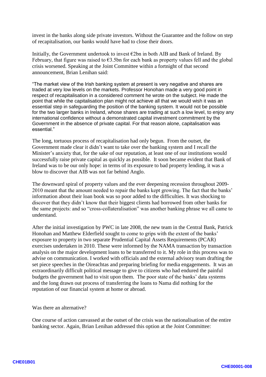invest in the banks along side private investors. Without the Guarantee and the follow on step of recapitalisation, our banks would have had to close their doors.

Initially, the Government undertook to invest  $\epsilon$ 2bn in both AIB and Bank of Ireland. By February, that figure was raised to  $\epsilon$ 3.5bn for each bank as property values fell and the global crisis worsened. Speaking at the Joint Committee within a fortnight of that second announcement, Brian Lenihan said:

"The market view of the Irish banking system at present is very negative and shares are traded at very low levels on the markets. Professor Honohan made a very good point in respect of recapitalisation in a considered comment he wrote on the subject. He made the point that while the capitalisation plan might not achieve all that we would wish it was an essential step in safeguarding the position of the banking system. It would not be possible for the two larger banks in Ireland, whose shares are trading at such a low level, to enjoy any international confidence without a demonstrated capital investment commitment by the Government in the absence of private capital. For that reason alone, capitalisation was essential."

The long, tortuous process of recapitalisation had only begun. From the outset, the Government made clear it didn't want to take over the banking system and I recall the Minister's anxiety that, for the sake of our reputation, at least one of our institutions would successfully raise private capital as quickly as possible. It soon became evident that Bank of Ireland was to be our only hope: in terms of its exposure to bad property lending, it was a blow to discover that AIB was not far behind Anglo.

The downward spiral of property values and the ever deepening recession throughout 2009 - 2010 meant that the amount needed to repair the banks kept growing. The fact that the banks' information about their loan book was so poor added to the difficulties. It was shocking to discover that they didn't know that their biggest clients had borrowed from other banks for the same projects: and so "cross -collateralisation" was another banking phrase we all came to understand.

After the initial investigation by PWC in late 2008, the new team in the Central Bank, Patrick Honohan and Matthew Elderfield sought to come to grips with the extent of the banks' exposure to property in two separate Prudential Capital Assets Requirements (PCAR) exercises undertaken in 2010. These were informed by the NAMA transaction by transaction analysis on the major development loans to be transferred to it. My role in this process was to advise on communication. I worked with officials and the external advisory team drafting the set piece speeches in the Oireachtas and preparing briefing for media engagements. It was an extraordinarily difficult political message to give to citizens who had endured the painful budgets the government had to visit upon them. The poor state of the banks' data systems and the long drawn out process of transferring the loans to Nama did nothing for the reputation of our financial system at home or abroad.

Was there an alternative?

One course of action canvassed at the outset of the crisis was the nationalisation of the entire banking sector. Again, Brian Lenihan addressed this option at the Joint Committee: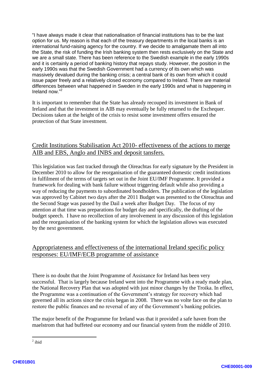"I have always made it clear that nationalisation of financial institutions has to be the last option for us. My reason is that each of the treasury departments in the local banks is an international fund -raising agency for the country. If we decide to amalgamate them all into the State, the risk of funding the Irish banking system then rests exclusively on the State and we are a small state. There has been reference to the Swedish example in the early 1990s and it is certainly a period of banking history that repays study. However, the position in the early 1990s was that the Swedish Government had a currency of its own which was massively devalued during the banking crisis; a central bank of its own from which it could issue paper freely and a relatively closed economy compared to Ireland. There are material differences between what happened in Sweden in the early 1990s and what is happening in Ireland now. " 2

It is important to remember that the State has already recouped its investment in Bank of Ireland and that the investment in AIB may eventually be fully returned to the Exchequer. Decisions taken at the height of the crisis to resist some investment offers ensured the protection of that State investment.

#### Credit Institutions Stabilisation Act 2010 - effectiveness of the actions to merge AIB and EBS, Anglo and INBS and deposit tansfers.

This legislation was fast tracked through the Oireachtas for early signature by the President in December 2010 to allow for the reorganisation of the guaranteed domestic credit institutions in fulfilment of the terms of targets set out in the Joint EU/IMF Programme. It provided a framework for dealing with bank failure without triggering default while also providing a way of reducing the payments to subordinated bondholders. The publication of the legislation was approved by Cabinet two days after the 2011 Budget was presented to the Oireachtas and the Second Stage was passed by the Dail a week after Budget Day. The focus of my attention at that time was preparations for budget day and specifically, the drafting of the budget speech. I have no recollection of any involvement in any discussion of this legislation and the reorganisation of the banking system for which the legislation allows was executed by the next government.

### Appropriateness and effectiveness of the international Ireland specific policy responses: EU/IMF/ECB programme of assistance

There is no doubt that the Joint Programme of Assistance for Ireland has been very successful. That is largely because Ireland went into the Programme with a ready made plan, the National Recovery Plan that was adopted with just minor changes by the Troika. In effect, the P rogramme was a continuation of the Government's strategy for recovery which had governed all its actions since the crisis began in 2008. There was no volte face on the plan to restore the public finances and no reversal of any of the Government's banking policies.

The major benefit of the Programme for Ireland was that it provided a safe haven from the maelstrom that had buffeted our economy and our financial system from the middle of 2010.

 $\frac{1}{2}$  $2$  ibid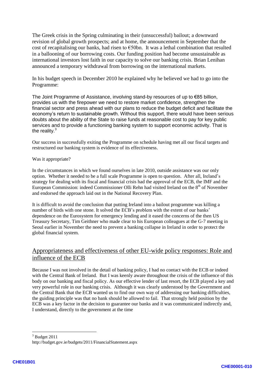The Greek crisis in the Spring culminating in their (unsuccessful) bailout; a downward revision of global growth prospects; and at home, the announcement in September that the cost of recapitalising our banks, had risen to  $\epsilon$ 50bn. It was a lethal combination that resulted in a ballooning of our borrowing costs. Our funding position had become unsustainable as international investors lost faith in our capacity to solve our banking crisis. Brian Lenihan announced a temporary withdrawal from borrowing on the international markets.

In his budget speech in December 2010 he explained why he believed we had to go into the Programme:

The Joint Programme of Assistance, involving stand -by resources of up to €85 billion, provides us with the firepower we need to restore market confidence, strengthen the financial sector and press ahead with our plans to reduce the budget deficit and facilitate the economy's return to sustainable growth. Without this support, there would have been serious doubts about the ability of the State to raise funds at reasonable cost to pay for key public services and to provide a functioning banking system to support economic activity. That is the reality. $3$ 

Our success in successfully exiting the Programme on schedule having met all our fiscal targets and restructured our banking system is evidence of its effectiveness .

Was it appropriate?

In the circumstances in which we found ourselves in late 2010, outside assistance was our only option. Whether it needed to be a full scale Programme is open to question. After all, Ireland's strategy for dealing with its fiscal and financial crisis had the approval of the ECB, the IMF and the European Commission: indeed Commissioner Olli Rehn had visited Ireland on the  $8<sup>th</sup>$  of November and endorsed the approach laid out in the National Recovery Plan.

It is difficult to avoid the conclusion that putting Ireland into a bailout programme was killing a number of birds with one stone. It solved the ECB's problem with the extent of our banks' dependence on the Eurosystem for emergency lending and it eased the concerns of the then US Treasury Secretary, Tim Geithner who made clear to his European colleagues at the G -7 meeting in Seoul earlier in November the need to prevent a banking collapse in Ireland in order to protect the global financial system.

#### Appropriateness and effectiveness of other EU -wide policy responses: Role and influence of the ECB

Because I was not involved in the detail of banking policy, I had no contact with the ECB or indeed with the Central Bank of Ireland. But I was keenly aware throughout the crisis of the influence of this body on our banking and fiscal policy. As our effective lender of last resort, the ECB played a key and very powerful role in our banking crisis. Although it was clearly understood by the Government and the Central Bank that the ECB wanted us to find our own way of addressing our banking difficulties, the guiding principle was that no bank should be allow ed to fail. That strongly held position by the ECB was a key factor in the decision to guarantee our banks and it was communicated indirectly and, I understand, directly to the government at the time

 $3$  Budget 2011

http://budget.gov.ie/budgets/2011/FinancialStatement.aspx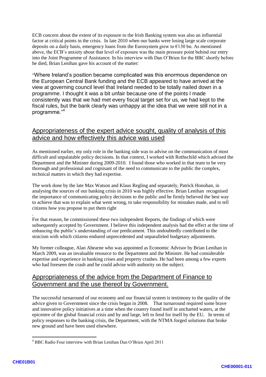ECB concern about the extent of its exposure to the Irish Banking system was also an influential factor at critical points in the crisis. In late 2010 when our banks were losing large scale corporate deposits on a daily basis, emergency loans from the Eurosystem grew to  $\epsilon$ 130 bn. As mentioned above, the ECB's anxiety about that level of exposure was the main pressure point behind our entry into the Joint Programme of Assistance. In his interview with Dan O'Brien for the BBC shortly before he died, Brian Lenihan gave his account of the matter:<br>"Where Ireland's position became complicated was this enormous dependence on

the European Central Bank funding and the ECB appeared to have arrived at the view at governing council level that Ireland needed to be totally nailed down in a programme. I thought it was a bit unfair because one of the points I made consistently was that we had met every fiscal target set for us, we had kept to the fiscal rules, but the bank clearly was unhappy at the idea that we were still not in a programme." 4

#### Appropriateness of the expert advice sought, quality of analysis of this advice and how effectively this advice was used

As mentioned earlier, my only role in the banking side was to advise on the communication of most difficult and unpalatable policy decisions. In that context, I worked with Rothschild which advised the Department and the Minister during 2009 -2010 . I found those who worked in that team to be very thorough and professional and cognisant of the need to communicate to the public the complex, technical matters in which they had expertise.

The work done by the late Max Watson and Klaus Regling and separately, Patrick Honohan, in analysing the sources of our banking crisis in 2010 was highly effective. Brian Lenihan recognised the importance of communicating policy decisions to the public and he firmly believed the best way to achieve that was to explain what went wrong, to take responsibility for mistakes made, and to tell citizens how you propose to put them right

. For that reason, he commissioned these two independent Reports, the findings of which were subsequently accepted by Government. I believe this independent analysis had the effect at the time of enhancing the public's understanding of our predicament . This undoubtedly contributed to the stoicism with which citizens endured unprecedented and unparalleled budgetary adjustments.

My former colleague, Alan Ahearn e who was appointed as Economic Advisor by Brian Lenihan in March 2009, was an invaluable resource to the Department and the Minister. He had considerable expertise and experience in banking crises and property crashes. He had been among a few experts who had foreseen the crash and he could advise with authority on the subject.

### Appropriateness of the advice from the Department of Finance to Government and the use thereof by Government.

The successful turnaround of our economy and our financial system is testimony to the quality of the advice given to Government since the crisis began in 2008. That turnaround required some brave and innovative policy initiatives at a time when the country found itself in uncharted waters, at the epicentre of the global financial crisis and by and large, left to fend for itself by the EU. In terms of policy responses to the banking crisis, the Department, with the NTMA forged solutions that broke new ground and have been used elsewhere.

<sup>4</sup> BBC Radio Four interview with Brian Lenihan Dan O'Brien April 2011